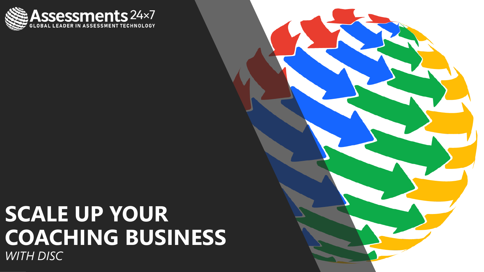

#### **SCALE UP YOUR COACHING BUSINESS** *WITH DISC*

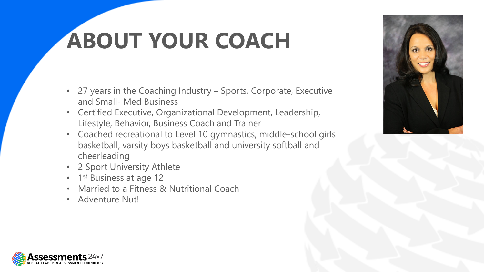# **ABOUT YOUR COACH**

- 27 years in the Coaching Industry Sports, Corporate, Executive and Small- Med Business
- Certified Executive, Organizational Development, Leadership, Lifestyle, Behavior, Business Coach and Trainer
- Coached recreational to Level 10 gymnastics, middle-school girls basketball, varsity boys basketball and university softball and cheerleading
- 2 Sport University Athlete
- 1<sup>st</sup> Business at age 12
- Married to a Fitness & Nutritional Coach
- Adventure Nut!



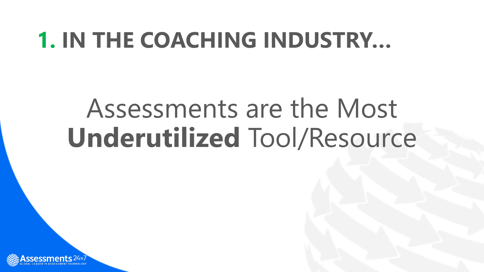### **1. IN THE COACHING INDUSTRY…**

# Assessments are the Most **Underutilized** Tool/Resource

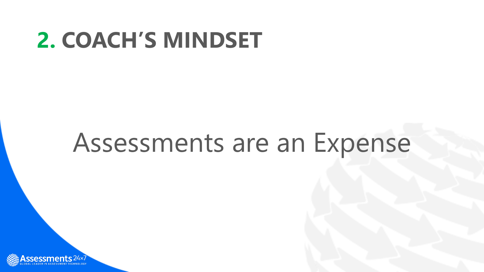### **2. COACH'S MINDSET**

# Assessments are an Expense

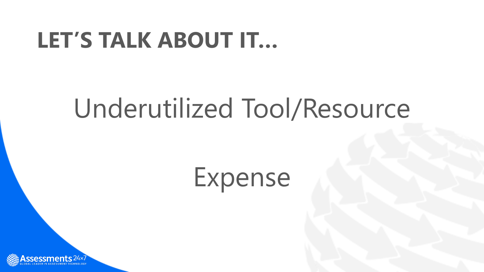### **LET'S TALK ABOUT IT…**

# Underutilized Tool/Resource

# Expense

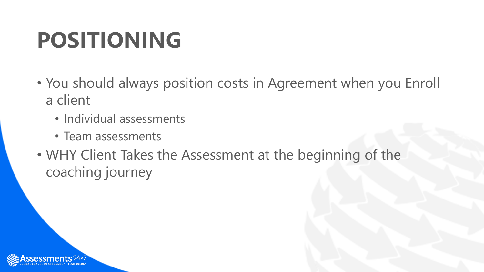## **POSITIONING**

- You should always position costs in Agreement when you Enroll a client
	- Individual assessments
	- Team assessments
- WHY Client Takes the Assessment at the beginning of the coaching journey

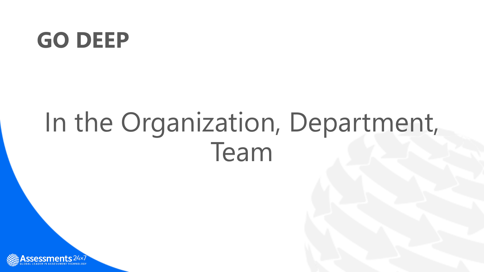### **GO DEEP**

# In the Organization, Department, Team

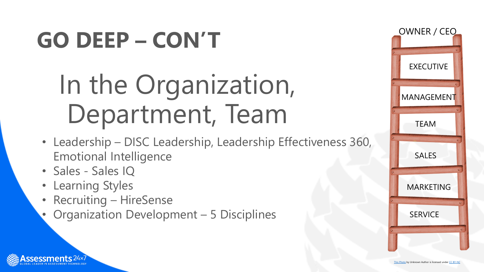# **GO DEEP – CON'T**

# In the Organization, Department, Team

- Leadership DISC Leadership, Leadership Effectiveness 360, Emotional Intelligence
- Sales Sales IQ
- Learning Styles
- Recruiting HireSense
- Organization Development 5 Disciplines

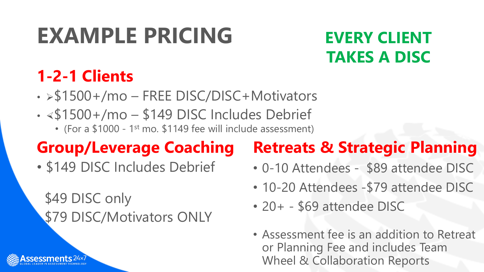# **EXAMPLE PRICING**

#### **EVERY CLIENT TAKES A DISC**

#### **1-2-1 Clients**

- $\cdot$  > \$1500 +/mo FREE DISC/DISC + Motivators
- $\cdot$  <\$1500+/mo \$149 DISC Includes Debrief
	- (For a \$1000 1st mo. \$1149 fee will include assessment)

#### **Group/Leverage Coaching**

• \$149 DISC Includes Debrief

\$49 DISC only \$79 DISC/Motivators ONLY

#### **Retreats & Strategic Planning**

- 0-10 Attendees \$89 attendee DISC
- 10-20 Attendees \$79 attendee DISC
- 20+ \$69 attendee DISC
- Assessment fee is an addition to Retreat or Planning Fee and includes Team Wheel & Collaboration Reports

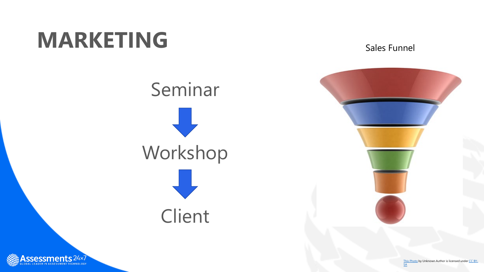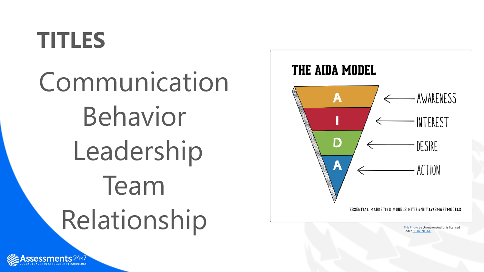### **TITLES**

Communication Behavior Leadership Team ESSENTIAL MARKETING MODELS HTTP://BIT.LY/SMARTMODELS



under <u>CC BY</u> -NC -ND

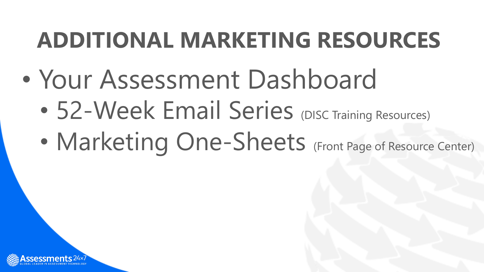## **ADDITIONAL MARKETING RESOURCES**

- Your Assessment Dashboard
	- 52-Week Email Series (DISC Training Resources)
	- Marketing One-Sheets (Front Page of Resource Center)

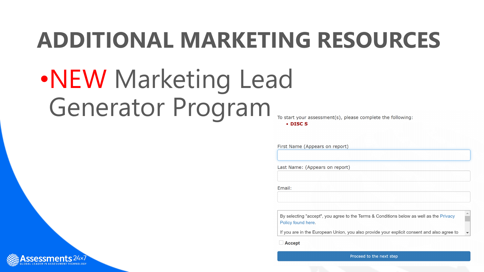### **ADDITIONAL MARKETING RESOURCES**

# •NEW Marketing Lead Generator Program

To start your assessment(s), please complete the following:

 $\cdot$  DISC S

First Name (Appears on report)

Last Name: (Appears on report)

Email:

By selecting "accept", you agree to the Terms & Conditions below as well as the Privacy Policy found here.

If you are in the European Union, you also provide your explicit consent and also agree to

□ Accept



Proceed to the next step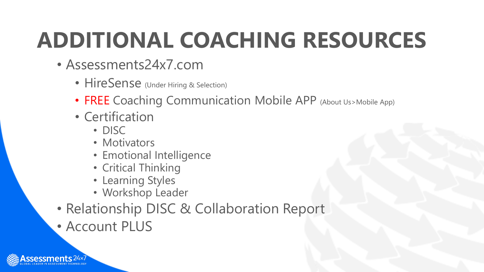# **ADDITIONAL COACHING RESOURCES**

- Assessments24x7.com
	- HireSense (Under Hiring & Selection)
	- FREE Coaching Communication Mobile APP (About Us>Mobile App)
	- Certification
		- DISC
		- Motivators
		- Emotional Intelligence
		- Critical Thinking
		- Learning Styles
		- Workshop Leader
- Relationship DISC & Collaboration Report
- Account PLUS

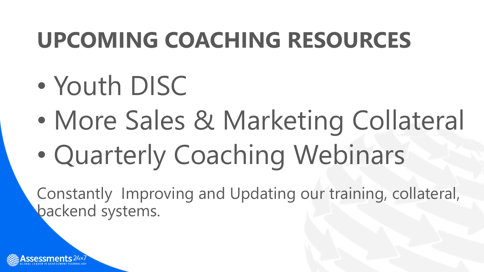## **UPCOMING COACHING RESOURCES**

- Youth DISC
- More Sales & Marketing Collateral
- Quarterly Coaching Webinars

Constantly Improving and Updating our training, collateral, backend systems.